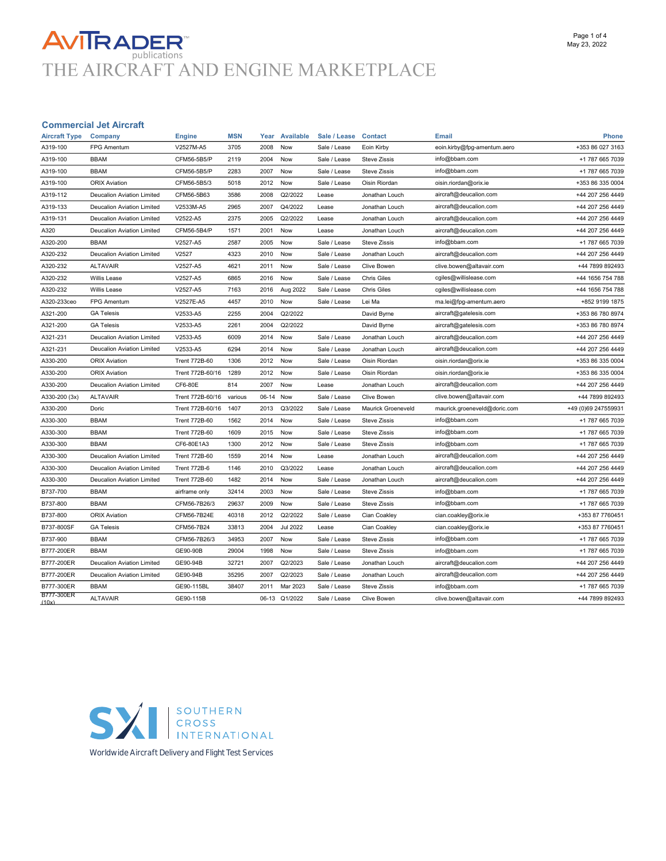# AVITRADER<br>THE AIRCRAFT AND ENGINE MARKETPLACE

#### Commercial Jet Aircraft

| <b>Aircraft Type</b> | Company                           | <b>Engine</b>        | <b>MSN</b> | Year  | Available       | Sale / Lease | <b>Contact</b>      | <b>Email</b>                 | Phone               |
|----------------------|-----------------------------------|----------------------|------------|-------|-----------------|--------------|---------------------|------------------------------|---------------------|
| A319-100             | <b>FPG Amentum</b>                | V2527M-A5            | 3705       | 2008  | Now             | Sale / Lease | Eoin Kirby          | eoin.kirby@fpg-amentum.aero  | +353 86 027 3163    |
| A319-100             | <b>BBAM</b>                       | CFM56-5B5/P          | 2119       | 2004  | Now             | Sale / Lease | <b>Steve Zissis</b> | info@bbam.com                | +1 787 665 7039     |
| A319-100             | <b>BBAM</b>                       | CFM56-5B5/P          | 2283       | 2007  | Now             | Sale / Lease | <b>Steve Zissis</b> | info@bbam.com                | +1 787 665 7039     |
| A319-100             | <b>ORIX Aviation</b>              | CFM56-5B5/3          | 5018       | 2012  | Now             | Sale / Lease | Oisin Riordan       | oisin.riordan@orix.ie        | +353 86 335 0004    |
| A319-112             | Deucalion Aviation Limited        | CFM56-5B63           | 3586       | 2008  | Q2/2022         | Lease        | Jonathan Louch      | aircraft@deucalion.com       | +44 207 256 4449    |
| A319-133             | Deucalion Aviation Limited        | V2533M-A5            | 2965       | 2007  | Q4/2022         | Lease        | Jonathan Louch      | aircraft@deucalion.com       | +44 207 256 4449    |
| A319-131             | Deucalion Aviation Limited        | V2522-A5             | 2375       | 2005  | Q2/2022         | Lease        | Jonathan Louch      | aircraft@deucalion.com       | +44 207 256 4449    |
| A320                 | Deucalion Aviation Limited        | CFM56-5B4/P          | 1571       | 2001  | Now             | Lease        | Jonathan Louch      | aircraft@deucalion.com       | +44 207 256 4449    |
| A320-200             | <b>BBAM</b>                       | V2527-A5             | 2587       | 2005  | Now             | Sale / Lease | <b>Steve Zissis</b> | info@bbam.com                | +1 787 665 7039     |
| A320-232             | Deucalion Aviation Limited        | V2527                | 4323       | 2010  | Now             | Sale / Lease | Jonathan Louch      | aircraft@deucalion.com       | +44 207 256 4449    |
| A320-232             | <b>ALTAVAIR</b>                   | V2527-A5             | 4621       | 2011  | Now             | Sale / Lease | <b>Clive Bowen</b>  | clive.bowen@altavair.com     | +44 7899 892493     |
| A320-232             | <b>Willis Lease</b>               | V2527-A5             | 6865       | 2016  | Now             | Sale / Lease | <b>Chris Giles</b>  | cgiles@willislease.com       | +44 1656 754 788    |
| A320-232             | Willis Lease                      | V2527-A5             | 7163       | 2016  | Aug 2022        | Sale / Lease | <b>Chris Giles</b>  | cgiles@willislease.com       | +44 1656 754 788    |
| A320-233ceo          | <b>FPG Amentum</b>                | V2527E-A5            | 4457       | 2010  | Now             | Sale / Lease | Lei Ma              | ma.lei@fpg-amentum.aero      | +852 9199 1875      |
| A321-200             | <b>GA Telesis</b>                 | V2533-A5             | 2255       | 2004  | Q2/2022         |              | David Byrne         | aircraft@gatelesis.com       | +353 86 780 8974    |
| A321-200             | <b>GA Telesis</b>                 | V2533-A5             | 2261       | 2004  | Q2/2022         |              | David Byrne         | aircraft@gatelesis.com       | +353 86 780 8974    |
| A321-231             | Deucalion Aviation Limited        | V2533-A5             | 6009       | 2014  | Now             | Sale / Lease | Jonathan Louch      | aircraft@deucalion.com       | +44 207 256 4449    |
| A321-231             | Deucalion Aviation Limited        | V2533-A5             | 6294       | 2014  | Now             | Sale / Lease | Jonathan Louch      | aircraft@deucalion.com       | +44 207 256 4449    |
| A330-200             | <b>ORIX Aviation</b>              | <b>Trent 772B-60</b> | 1306       | 2012  | Now             | Sale / Lease | Oisin Riordan       | oisin.riordan@orix.ie        | +353 86 335 0004    |
| A330-200             | <b>ORIX Aviation</b>              | Trent 772B-60/16     | 1289       | 2012  | Now             | Sale / Lease | Oisin Riordan       | oisin.riordan@orix.ie        | +353 86 335 0004    |
| A330-200             | Deucalion Aviation Limited        | CF6-80E              | 814        | 2007  | Now             | Lease        | Jonathan Louch      | aircraft@deucalion.com       | +44 207 256 4449    |
| A330-200 (3x)        | <b>ALTAVAIR</b>                   | Trent 772B-60/16     | various    | 06-14 | Now             | Sale / Lease | <b>Clive Bowen</b>  | clive.bowen@altavair.com     | +44 7899 892493     |
| A330-200             | Doric                             | Trent 772B-60/16     | 1407       | 2013  | Q3/2022         | Sale / Lease | Maurick Groeneveld  | maurick.groeneveld@doric.com | +49 (0)69 247559931 |
| A330-300             | <b>BBAM</b>                       | <b>Trent 772B-60</b> | 1562       | 2014  | Now             | Sale / Lease | <b>Steve Zissis</b> | info@bbam.com                | +1 787 665 7039     |
| A330-300             | <b>BBAM</b>                       | <b>Trent 772B-60</b> | 1609       | 2015  | Now             | Sale / Lease | <b>Steve Zissis</b> | info@bbam.com                | +1 787 665 7039     |
| A330-300             | <b>BBAM</b>                       | CF6-80E1A3           | 1300       | 2012  | Now             | Sale / Lease | <b>Steve Zissis</b> | info@bbam.com                | +1 787 665 7039     |
| A330-300             | Deucalion Aviation Limited        | <b>Trent 772B-60</b> | 1559       | 2014  | Now             | Lease        | Jonathan Louch      | aircraft@deucalion.com       | +44 207 256 4449    |
| A330-300             | Deucalion Aviation Limited        | <b>Trent 772B-6</b>  | 1146       | 2010  | Q3/2022         | Lease        | Jonathan Louch      | aircraft@deucalion.com       | +44 207 256 4449    |
| A330-300             | <b>Deucalion Aviation Limited</b> | <b>Trent 772B-60</b> | 1482       | 2014  | Now             | Sale / Lease | Jonathan Louch      | aircraft@deucalion.com       | +44 207 256 4449    |
| B737-700             | <b>BBAM</b>                       | airframe only        | 32414      | 2003  | Now             | Sale / Lease | <b>Steve Zissis</b> | info@bbam.com                | +1 787 665 7039     |
| B737-800             | <b>BBAM</b>                       | CFM56-7B26/3         | 29637      | 2009  | Now             | Sale / Lease | <b>Steve Zissis</b> | info@bbam.com                | +1 787 665 7039     |
| B737-800             | <b>ORIX Aviation</b>              | CFM56-7B24E          | 40318      | 2012  | Q2/2022         | Sale / Lease | Cian Coakley        | cian.coakley@orix.ie         | +353 87 7760451     |
| B737-800SF           | <b>GA Telesis</b>                 | CFM56-7B24           | 33813      | 2004  | <b>Jul 2022</b> | Lease        | Cian Coakley        | cian.coakley@orix.ie         | +353 87 7760451     |
| B737-900             | <b>BBAM</b>                       | CFM56-7B26/3         | 34953      | 2007  | Now             | Sale / Lease | <b>Steve Zissis</b> | info@bbam.com                | +1 787 665 7039     |
| B777-200ER           | <b>BBAM</b>                       | GE90-90B             | 29004      | 1998  | Now             | Sale / Lease | <b>Steve Zissis</b> | info@bbam.com                | +1 787 665 7039     |
| B777-200ER           | Deucalion Aviation Limited        | GE90-94B             | 32721      | 2007  | Q2/2023         | Sale / Lease | Jonathan Louch      | aircraft@deucalion.com       | +44 207 256 4449    |
| B777-200ER           | Deucalion Aviation Limited        | GE90-94B             | 35295      | 2007  | Q2/2023         | Sale / Lease | Jonathan Louch      | aircraft@deucalion.com       | +44 207 256 4449    |
| B777-300ER           | <b>BBAM</b>                       | GE90-115BL           | 38407      | 2011  | Mar 2023        | Sale / Lease | <b>Steve Zissis</b> | info@bbam.com                | +1 787 665 7039     |
| B777-300ER<br>(10x)  | <b>ALTAVAIR</b>                   | GE90-115B            |            | 06-13 | Q1/2022         | Sale / Lease | Clive Bowen         | clive.bowen@altavair.com     | +44 7899 892493     |



**Worldwide Aircraft Delivery and Flight Test Services**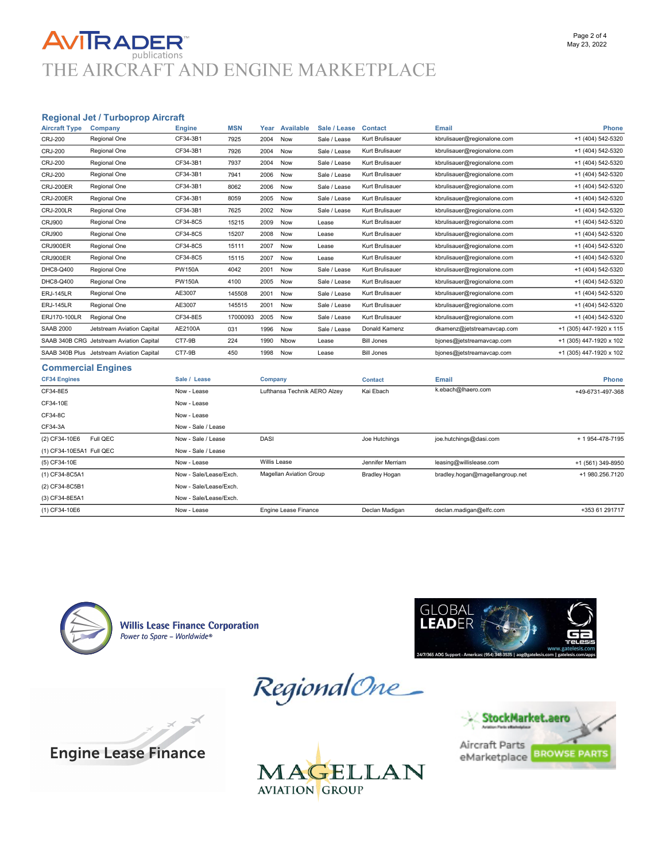### **AVITRADER** THE AIRCRAFT AND ENGINE MARKETPLACE

#### Regional Jet / Turboprop Aircraft

| <b>Aircraft Type</b>     | Company                                   | <b>Engine</b>          | <b>MSN</b>                   | Year    | <b>Available</b>               | Sale / Lease       | <b>Contact</b>       | <b>Email</b>                    | Phone                   |
|--------------------------|-------------------------------------------|------------------------|------------------------------|---------|--------------------------------|--------------------|----------------------|---------------------------------|-------------------------|
| <b>CRJ-200</b>           | Regional One                              | CF34-3B1               | 7925                         | 2004    | Now                            | Sale / Lease       | Kurt Brulisauer      | kbrulisauer@regionalone.com     | +1 (404) 542-5320       |
| <b>CRJ-200</b>           | Regional One                              | CF34-3B1               | 7926                         | 2004    | Now                            | Sale / Lease       | Kurt Brulisauer      | kbrulisauer@regionalone.com     | +1 (404) 542-5320       |
| <b>CRJ-200</b>           | Regional One                              | CF34-3B1               | 7937                         | 2004    | Now                            | Sale / Lease       | Kurt Brulisauer      | kbrulisauer@regionalone.com     | +1 (404) 542-5320       |
| <b>CRJ-200</b>           | Regional One                              | CF34-3B1               | 7941                         | 2006    | Now                            | Sale / Lease       | Kurt Brulisauer      | kbrulisauer@regionalone.com     | +1 (404) 542-5320       |
| CRJ-200ER                | Regional One                              | CF34-3B1               | 8062                         | 2006    | Now                            | Sale / Lease       | Kurt Brulisauer      | kbrulisauer@regionalone.com     | +1 (404) 542-5320       |
| <b>CRJ-200ER</b>         | Regional One                              | CF34-3B1               | 8059                         | 2005    | Now                            | Sale / Lease       | Kurt Brulisauer      | kbrulisauer@regionalone.com     | +1 (404) 542-5320       |
| CRJ-200LR                | Regional One                              | CF34-3B1               | 7625                         | 2002    | Now                            | Sale / Lease       | Kurt Brulisauer      | kbrulisauer@regionalone.com     | +1 (404) 542-5320       |
| <b>CRJ900</b>            | Regional One                              | CF34-8C5               | 15215                        | 2009    | Now                            | Lease              | Kurt Brulisauer      | kbrulisauer@regionalone.com     | +1 (404) 542-5320       |
| <b>CRJ900</b>            | Regional One                              | CF34-8C5               | 15207                        | 2008    | Now                            | Lease              | Kurt Brulisauer      | kbrulisauer@regionalone.com     | +1 (404) 542-5320       |
| CRJ900ER                 | Regional One                              | CF34-8C5               | 15111                        | 2007    | Now                            | Lease              | Kurt Brulisauer      | kbrulisauer@regionalone.com     | +1 (404) 542-5320       |
| CRJ900ER                 | Regional One                              | CF34-8C5               | 15115                        | 2007    | Now                            | Lease              | Kurt Brulisauer      | kbrulisauer@regionalone.com     | +1 (404) 542-5320       |
| DHC8-Q400                | Regional One                              | <b>PW150A</b>          | 4042                         | 2001    | Now                            | Sale / Lease       | Kurt Brulisauer      | kbrulisauer@regionalone.com     | +1 (404) 542-5320       |
| DHC8-Q400                | Regional One                              | <b>PW150A</b>          | 4100                         | 2005    | Now                            | Sale / Lease       | Kurt Brulisauer      | kbrulisauer@regionalone.com     | +1 (404) 542-5320       |
| <b>ERJ-145LR</b>         | Regional One                              | AE3007                 | 145508                       | 2001    | Now                            | Sale / Lease       | Kurt Brulisauer      | kbrulisauer@regionalone.com     | +1 (404) 542-5320       |
| <b>ERJ-145LR</b>         | Regional One                              | AE3007                 | 145515                       | 2001    | Now                            | Sale / Lease       | Kurt Brulisauer      | kbrulisauer@regionalone.com     | +1 (404) 542-5320       |
| ERJ170-100LR             | Regional One                              | CF34-8E5               | 17000093                     | 2005    | Now                            | Sale / Lease       | Kurt Brulisauer      | kbrulisauer@regionalone.com     | +1 (404) 542-5320       |
| <b>SAAB 2000</b>         | Jetstream Aviation Capital                | AE2100A                | 031                          | 1996    | Now                            | Sale / Lease       | Donald Kamenz        | dkamenz@jetstreamavcap.com      | +1 (305) 447-1920 x 115 |
|                          | SAAB 340B CRG Jetstream Aviation Capital  | CT7-9B                 | 224                          | 1990    | Nbow                           | Lease              | <b>Bill Jones</b>    | bjones@jetstreamavcap.com       | +1 (305) 447-1920 x 102 |
|                          | SAAB 340B Plus Jetstream Aviation Capital | CT7-9B                 | 450                          | 1998    | Now                            | Lease              | <b>Bill Jones</b>    | bjones@jetstreamavcap.com       | +1 (305) 447-1920 x 102 |
|                          | <b>Commercial Engines</b>                 |                        |                              |         |                                |                    |                      |                                 |                         |
| <b>CF34 Engines</b>      |                                           | Sale / Lease           |                              | Company |                                |                    | <b>Contact</b>       | Email                           | <b>Phone</b>            |
| CF34-8E5<br>Now - Lease  |                                           |                        | Lufthansa Technik AERO Alzey |         | Kai Ebach                      | k.ebach@lhaero.com | +49-6731-497-368     |                                 |                         |
| CF34-10E                 |                                           | Now - Lease            |                              |         |                                |                    |                      |                                 |                         |
| CF34-8C                  |                                           | Now - Lease            |                              |         |                                |                    |                      |                                 |                         |
| CF34-3A                  |                                           |                        | Now - Sale / Lease           |         |                                |                    |                      |                                 |                         |
| (2) CF34-10E6            | Full QEC                                  | Now - Sale / Lease     |                              | DASI    |                                |                    | Joe Hutchings        | joe.hutchings@dasi.com          | + 1 954-478-7195        |
| (1) CF34-10E5A1 Full QEC |                                           | Now - Sale / Lease     |                              |         |                                |                    |                      |                                 |                         |
| (5) CF34-10E             |                                           | Now - Lease            |                              |         | <b>Willis Lease</b>            |                    | Jennifer Merriam     | leasing@willislease.com         | +1 (561) 349-8950       |
| (1) CF34-8C5A1           |                                           | Now - Sale/Lease/Exch. |                              |         | <b>Magellan Aviation Group</b> |                    | <b>Bradley Hogan</b> | bradley.hogan@magellangroup.net | +1 980.256.7120         |
| (2) CF34-8C5B1           |                                           | Now - Sale/Lease/Exch. |                              |         |                                |                    |                      |                                 |                         |

(1) CF34-10E6 Now - Lease Engine Lease Finance Declan Madigan declan.madigan@elfc.com +353 61 291717



**Willis Lease Finance Corporation** Power to Spare - Worldwide®







(3) CF34-8E5A1 Now - Sale/Lease/Exch.



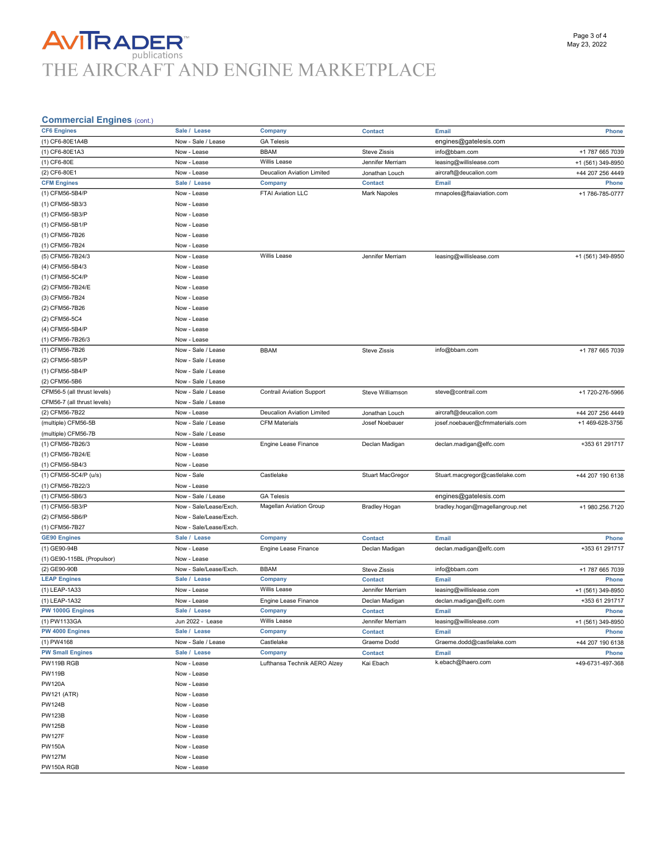## **AVITRADER**<br>THE AIRCRAFT AND ENGINE MARKETPLACE

#### Commercial Engines (cont.)

| COMMENCIAL LINGUIGS (COM.)                   |                        |                                  |                      |                                 |                   |
|----------------------------------------------|------------------------|----------------------------------|----------------------|---------------------------------|-------------------|
| <b>CF6 Engines</b>                           | Sale / Lease           | Company                          | <b>Contact</b>       | Email                           | Phone             |
| (1) CF6-80E1A4B                              | Now - Sale / Lease     | <b>GA Telesis</b>                |                      | engines@gatelesis.com           |                   |
| (1) CF6-80E1A3                               | Now - Lease            | <b>BBAM</b>                      | <b>Steve Zissis</b>  | info@bbam.com                   | +1 787 665 7039   |
| (1) CF6-80E                                  | Now - Lease            | Willis Lease                     | Jennifer Merriam     | leasing@willislease.com         | +1 (561) 349-8950 |
| (2) CF6-80E1                                 | Now - Lease            | Deucalion Aviation Limited       | Jonathan Louch       | aircraft@deucalion.com          | +44 207 256 4449  |
| <b>CFM Engines</b>                           | Sale / Lease           | Company                          | <b>Contact</b>       | <b>Email</b>                    | Phone             |
| (1) CFM56-5B4/P                              | Now - Lease            | FTAI Aviation LLC                | <b>Mark Napoles</b>  | mnapoles@ftaiaviation.com       | +1 786-785-0777   |
| (1) CFM56-5B3/3                              | Now - Lease            |                                  |                      |                                 |                   |
| (1) CFM56-5B3/P                              | Now - Lease            |                                  |                      |                                 |                   |
| (1) CFM56-5B1/P                              | Now - Lease            |                                  |                      |                                 |                   |
| (1) CFM56-7B26                               | Now - Lease            |                                  |                      |                                 |                   |
| (1) CFM56-7B24                               | Now - Lease            |                                  |                      |                                 |                   |
| (5) CFM56-7B24/3                             | Now - Lease            | Willis Lease                     | Jennifer Merriam     | leasing@willislease.com         | +1 (561) 349-8950 |
| (4) CFM56-5B4/3                              | Now - Lease            |                                  |                      |                                 |                   |
| (1) CFM56-5C4/P                              | Now - Lease            |                                  |                      |                                 |                   |
| (2) CFM56-7B24/E                             | Now - Lease            |                                  |                      |                                 |                   |
| (3) CFM56-7B24                               | Now - Lease            |                                  |                      |                                 |                   |
| (2) CFM56-7B26                               | Now - Lease            |                                  |                      |                                 |                   |
| (2) CFM56-5C4                                | Now - Lease            |                                  |                      |                                 |                   |
| (4) CFM56-5B4/P                              | Now - Lease            |                                  |                      |                                 |                   |
| (1) CFM56-7B26/3                             | Now - Lease            |                                  |                      |                                 |                   |
| (1) CFM56-7B26                               | Now - Sale / Lease     | <b>BBAM</b>                      | <b>Steve Zissis</b>  | info@bbam.com                   | +1 787 665 7039   |
| (2) CFM56-5B5/P                              | Now - Sale / Lease     |                                  |                      |                                 |                   |
| (1) CFM56-5B4/P                              | Now - Sale / Lease     |                                  |                      |                                 |                   |
|                                              | Now - Sale / Lease     |                                  |                      |                                 |                   |
| (2) CFM56-5B6<br>CFM56-5 (all thrust levels) |                        |                                  |                      | steve@contrail.com              |                   |
|                                              | Now - Sale / Lease     | <b>Contrail Aviation Support</b> | Steve Williamson     |                                 | +1 720-276-5966   |
| CFM56-7 (all thrust levels)                  | Now - Sale / Lease     |                                  |                      |                                 |                   |
| (2) CFM56-7B22                               | Now - Lease            | Deucalion Aviation Limited       | Jonathan Louch       | aircraft@deucalion.com          | +44 207 256 4449  |
| (multiple) CFM56-5B                          | Now - Sale / Lease     | <b>CFM Materials</b>             | Josef Noebauer       | josef.noebauer@cfmmaterials.com | +1 469-628-3756   |
| (multiple) CFM56-7B                          | Now - Sale / Lease     |                                  |                      |                                 |                   |
| (1) CFM56-7B26/3                             | Now - Lease            | Engine Lease Finance             | Declan Madigan       | declan.madigan@elfc.com         | +353 61 291717    |
| (1) CFM56-7B24/E                             | Now - Lease            |                                  |                      |                                 |                   |
| (1) CFM56-5B4/3                              | Now - Lease            |                                  |                      |                                 |                   |
| (1) CFM56-5C4/P (u/s)                        | Now - Sale             | Castlelake                       | Stuart MacGregor     | Stuart.macgregor@castlelake.com | +44 207 190 6138  |
| (1) CFM56-7B22/3                             | Now - Lease            |                                  |                      |                                 |                   |
| (1) CFM56-5B6/3                              | Now - Sale / Lease     | <b>GA Telesis</b>                |                      | engines@gatelesis.com           |                   |
| (1) CFM56-5B3/P                              | Now - Sale/Lease/Exch. | <b>Magellan Aviation Group</b>   | <b>Bradley Hogan</b> | bradley.hogan@magellangroup.net | +1 980.256.7120   |
| (2) CFM56-5B6/P                              | Now - Sale/Lease/Exch. |                                  |                      |                                 |                   |
| (1) CFM56-7B27                               | Now - Sale/Lease/Exch. |                                  |                      |                                 |                   |
| <b>GE90 Engines</b>                          | Sale / Lease           | Company                          | <b>Contact</b>       | Email                           | Phone             |
| (1) GE90-94B                                 | Now - Lease            | Engine Lease Finance             | Declan Madigan       | declan.madigan@elfc.com         | +353 61 291717    |
| (1) GE90-115BL (Propulsor)                   | Now - Lease            |                                  |                      |                                 |                   |
| (2) GE90-90B                                 | Now - Sale/Lease/Exch. | <b>BBAM</b>                      | <b>Steve Zissis</b>  | info@bbam.com                   | +1 787 665 7039   |
| <b>LEAP Engines</b>                          | Sale / Lease           | Company                          | <b>Contact</b>       | Email                           | Phone             |
| (1) LEAP-1A33                                | Now - Lease            | Willis Lease                     | Jennifer Merriam     | leasing@willislease.com         | +1 (561) 349-8950 |
| (1) LEAP-1A32                                | Now - Lease            | Engine Lease Finance             | Declan Madigan       | declan.madigan@elfc.com         | +353 61 291717    |
| PW 1000G Engines                             | Sale / Lease           | <b>Company</b>                   | <b>Contact</b>       | Email                           | <b>Phone</b>      |
| (1) PW1133GA                                 | Jun 2022 - Lease       | Willis Lease                     | Jennifer Merriam     | leasing@willislease.com         | +1 (561) 349-8950 |
| PW 4000 Engines                              | Sale / Lease           | Company                          | <b>Contact</b>       | Email                           | Phone             |
| (1) PW4168                                   | Now - Sale / Lease     | Castlelake                       | Graeme Dodd          | Graeme.dodd@castlelake.com      | +44 207 190 6138  |
| <b>PW Small Engines</b>                      | Sale / Lease           | Company                          | <b>Contact</b>       | Email                           | <b>Phone</b>      |
| PW119B RGB                                   | Now - Lease            | Lufthansa Technik AERO Alzey     | Kai Ebach            | k.ebach@lhaero.com              | +49-6731-497-368  |
| <b>PW119B</b>                                | Now - Lease            |                                  |                      |                                 |                   |
| <b>PW120A</b>                                | Now - Lease            |                                  |                      |                                 |                   |
| <b>PW121 (ATR)</b>                           | Now - Lease            |                                  |                      |                                 |                   |
| <b>PW124B</b>                                | Now - Lease            |                                  |                      |                                 |                   |
| <b>PW123B</b>                                | Now - Lease            |                                  |                      |                                 |                   |
| <b>PW125B</b>                                | Now - Lease            |                                  |                      |                                 |                   |
| <b>PW127F</b>                                | Now - Lease            |                                  |                      |                                 |                   |
| <b>PW150A</b>                                | Now - Lease            |                                  |                      |                                 |                   |
| <b>PW127M</b>                                | Now - Lease            |                                  |                      |                                 |                   |
| PW150A RGB                                   | Now - Lease            |                                  |                      |                                 |                   |
|                                              |                        |                                  |                      |                                 |                   |